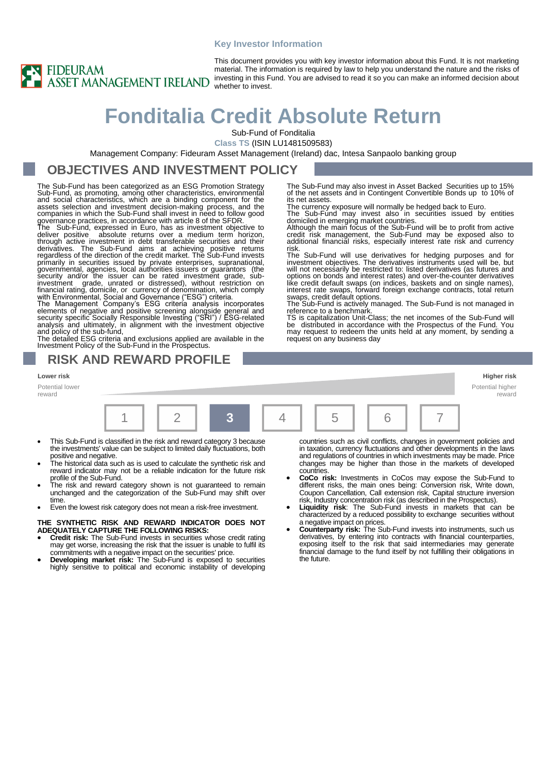#### **Key Investor Information**



This document provides you with key investor information about this Fund. It is not marketing material. The information is required by law to help you understand the nature and the risks of investing in this Fund. You are advised to read it so you can make an informed decision about

domiciled in emerging market countries.

reference to a benchmark.

request on any business day

The Sub-Fund may also invest in Asset Backed Securities up to 15% of the net assets and in Contingent Convertible Bonds up to 10% of

The currency exposure will normally be hedged back to Euro. The Sub-Fund may invest also in securities issued by entities

Although the main focus of the Sub-Fund will be to profit from active credit risk management, the Sub-Fund may be exposed also to additional financial risks, especially interest rate risk and currency

The Sub-Fund will use derivatives for hedging purposes and for<br>investment objectives. The derivatives instruments used will be, but<br>will not necessarily be restricted to: listed derivatives (as futures and<br>options on bonds like credit default swaps (on indices, baskets and on single names), interest rate swaps, forward foreign exchange contracts, total return swaps, credit default options. The Sub-Fund is actively managed. The Sub-Fund is not managed in

TS is capitalization Unit-Class; the net incomes of the Sub-Fund will be distributed in accordance with the Prospectus of the Fund. You may request to redeem the units held at any moment, by sending a

# **Fonditalia Credit Absolute Return**

Sub-Fund of Fonditalia

its net assets.

risk.

**Class TS** (ISIN LU1481509583)

Management Company: Fideuram Asset Management (Ireland) dac, Intesa Sanpaolo banking group

### **OBJECTIVES AND INVESTMENT POLICY**

The Sub-Fund has been categorized as an ESG Promotion Strategy Sub-Fund, as promoting, among other characteristics, environmental<br>and social characteristics, which are a binding component for the<br>assets selection and investment decision-making process, and the<br>companies in which the S governance practices, in accordance with article 8 of the SFDR.

The Sub-Fund, expressed in Euro, has as investment objective to deliver positive absolute returns over a medium term horizon, through active investment in debt transferable securities and their derivatives. The Sub-Fund aims at achieving positive returns regardless of the direction of the credit market. The Sub-Fund invests<br>primarily in securities issued by private enterprises, supranational,<br>governmental, agencies, local authorities issuers or guarantors (the<br>security and

#### **RISK AND REWARD PROFILE**

Potential lower

reward



- This Sub-Fund is classified in the risk and reward category 3 because the investments' value can be subject to limited daily fluctuations, both positive and negative.
- The historical data such as is used to calculate the synthetic risk and reward indicator may not be a reliable indication for the future risk profile of the Sub-Fund.
- The risk and reward category shown is not guaranteed to remain unchanged and the categorization of the Sub-Fund may shift over time.
- Even the lowest risk category does not mean a risk-free investment.

**THE SYNTHETIC RISK AND REWARD INDICATOR DOES NOT ADEQUATELY CAPTURE THE FOLLOWING RISKS:**

- **Credit risk:** The Sub-Fund invests in securities whose credit rating may get worse, increasing the risk that the issuer is unable to fulfil its
- commitments with a negative impact on the securities' price. **Developing market risk:** The Sub-Fund is exposed to securities highly sensitive to political and economic instability of developing

countries such as civil conflicts, changes in government policies and in taxation, currency fluctuations and other developments in the laws and regulations of countries in which investments may be made. Price changes may be higher than those in the markets of developed countries. • **CoCo risk:** Investments in CoCos may expose the Sub-Fund to

- different risks, the main ones being: Conversion risk, Write down, Coupon Cancellation, Call extension risk, Capital structure inversion risk, Industry concentration risk (as described in the Prospectus).
- **Liquidity risk**: The Sub-Fund invests in markets that can be characterized by a reduced possibility to exchange securities without a negative impact on prices.
- **Counterparty risk:** The Sub-Fund invests into instruments, such us derivatives, by entering into contracts with financial counterparties, exposing itself to the risk that said intermediaries may generate financial damage to the fund itself by not fulfilling their obligations in the future.